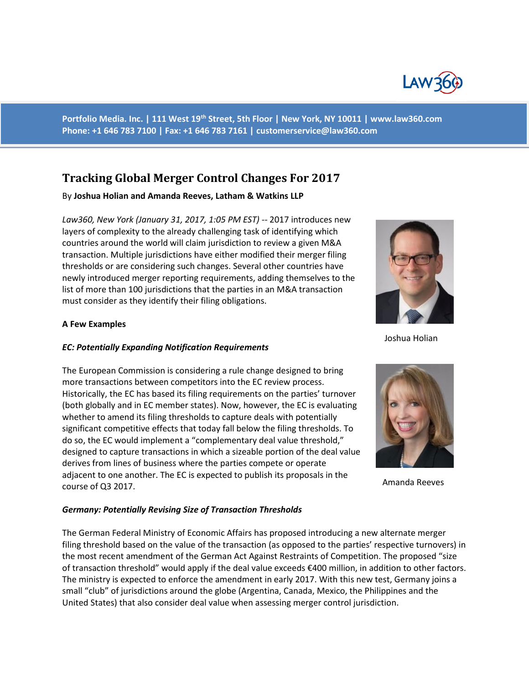

**Portfolio Media. Inc. | 111 West 19th Street, 5th Floor | New York, NY 10011 | www.law360.com Phone: +1 646 783 7100 | Fax: +1 646 783 7161 | [customerservice@law360.com](mailto:customerservice@law360.com)**

# **Tracking Global Merger Control Changes For 2017**

### By **Joshua Holian and Amanda Reeves, Latham & Watkins LLP**

*Law360, New York (January 31, 2017, 1:05 PM EST) --* 2017 introduces new layers of complexity to the already challenging task of identifying which countries around the world will claim jurisdiction to review a given M&A transaction. Multiple jurisdictions have either modified their merger filing thresholds or are considering such changes. Several other countries have newly introduced merger reporting requirements, adding themselves to the list of more than 100 jurisdictions that the parties in an M&A transaction must consider as they identify their filing obligations.

### **A Few Examples**

### *EC: Potentially Expanding Notification Requirements*

The European Commission is considering a rule change designed to bring more transactions between competitors into the EC review process. Historically, the EC has based its filing requirements on the parties' turnover (both globally and in EC member states). Now, however, the EC is evaluating whether to amend its filing thresholds to capture deals with potentially significant competitive effects that today fall below the filing thresholds. To do so, the EC would implement a "complementary deal value threshold," designed to capture transactions in which a sizeable portion of the deal value derives from lines of business where the parties compete or operate adjacent to one another. The EC is expected to publish its proposals in the course of Q3 2017.

#### *Germany: Potentially Revising Size of Transaction Thresholds*

The German Federal Ministry of Economic Affairs has proposed introducing a new alternate merger filing threshold based on the value of the transaction (as opposed to the parties' respective turnovers) in the most recent amendment of the German Act Against Restraints of Competition. The proposed "size of transaction threshold" would apply if the deal value exceeds €400 million, in addition to other factors. The ministry is expected to enforce the amendment in early 2017. With this new test, Germany joins a small "club" of jurisdictions around the globe (Argentina, Canada, Mexico, the Philippines and the United States) that also consider deal value when assessing merger control jurisdiction.



Joshua Holian



Amanda Reeves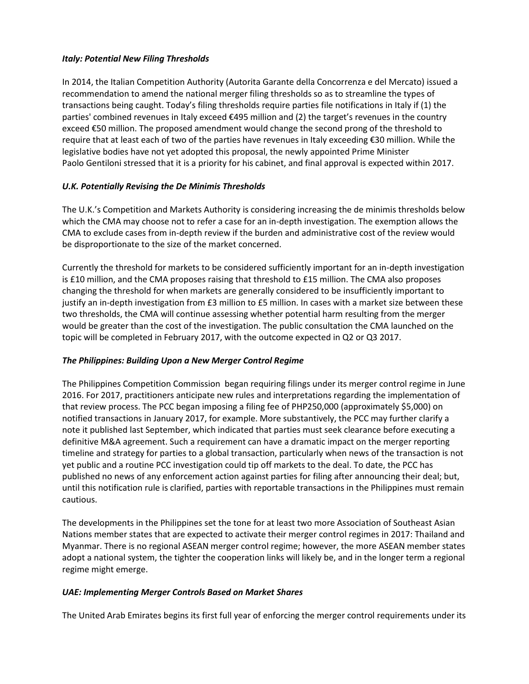# *Italy: Potential New Filing Thresholds*

In 2014, the Italian Competition Authority (Autorita Garante della Concorrenza e del Mercato) issued a recommendation to amend the national merger filing thresholds so as to streamline the types of transactions being caught. Today's filing thresholds require parties file notifications in Italy if (1) the parties' combined revenues in Italy exceed €495 million and (2) the target's revenues in the country exceed €50 million. The proposed amendment would change the second prong of the threshold to require that at least each of two of the parties have revenues in Italy exceeding €30 million. While the legislative bodies have not yet adopted this proposal, the newly appointed Prime Minister Paolo Gentiloni stressed that it is a priority for his cabinet, and final approval is expected within 2017.

# *U.K. Potentially Revising the De Minimis Thresholds*

The U.K.'s Competition and Markets Authority is considering increasing the de minimis thresholds below which the CMA may choose not to refer a case for an in-depth investigation. The exemption allows the CMA to exclude cases from in-depth review if the burden and administrative cost of the review would be disproportionate to the size of the market concerned.

Currently the threshold for markets to be considered sufficiently important for an in-depth investigation is £10 million, and the CMA proposes raising that threshold to £15 million. The CMA also proposes changing the threshold for when markets are generally considered to be insufficiently important to justify an in-depth investigation from £3 million to £5 million. In cases with a market size between these two thresholds, the CMA will continue assessing whether potential harm resulting from the merger would be greater than the cost of the investigation. The public consultation the CMA launched on the topic will be completed in February 2017, with the outcome expected in Q2 or Q3 2017.

# *The Philippines: Building Upon a New Merger Control Regime*

The Philippines Competition Commission began requiring filings under its merger control regime in June 2016. For 2017, practitioners anticipate new rules and interpretations regarding the implementation of that review process. The PCC began imposing a filing fee of PHP250,000 (approximately \$5,000) on notified transactions in January 2017, for example. More substantively, the PCC may further clarify a note it published last September, which indicated that parties must seek clearance before executing a definitive M&A agreement. Such a requirement can have a dramatic impact on the merger reporting timeline and strategy for parties to a global transaction, particularly when news of the transaction is not yet public and a routine PCC investigation could tip off markets to the deal. To date, the PCC has published no news of any enforcement action against parties for filing after announcing their deal; but, until this notification rule is clarified, parties with reportable transactions in the Philippines must remain cautious.

The developments in the Philippines set the tone for at least two more Association of Southeast Asian Nations member states that are expected to activate their merger control regimes in 2017: Thailand and Myanmar. There is no regional ASEAN merger control regime; however, the more ASEAN member states adopt a national system, the tighter the cooperation links will likely be, and in the longer term a regional regime might emerge.

## *UAE: Implementing Merger Controls Based on Market Shares*

The United Arab Emirates begins its first full year of enforcing the merger control requirements under its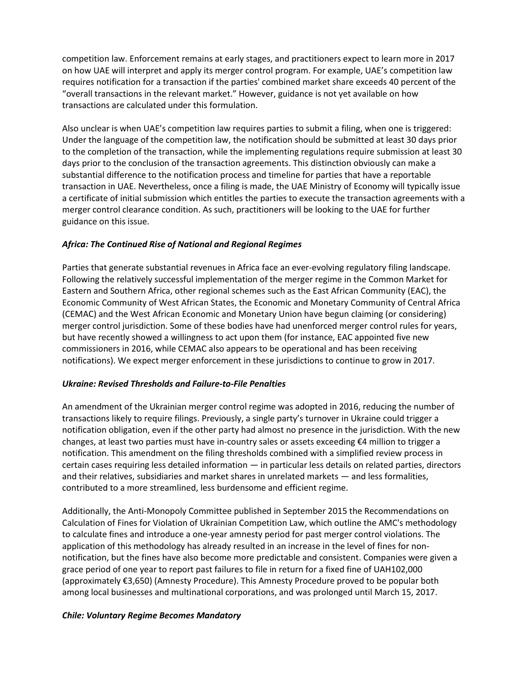competition law. Enforcement remains at early stages, and practitioners expect to learn more in 2017 on how UAE will interpret and apply its merger control program. For example, UAE's competition law requires notification for a transaction if the parties' combined market share exceeds 40 percent of the "overall transactions in the relevant market." However, guidance is not yet available on how transactions are calculated under this formulation.

Also unclear is when UAE's competition law requires parties to submit a filing, when one is triggered: Under the language of the competition law, the notification should be submitted at least 30 days prior to the completion of the transaction, while the implementing regulations require submission at least 30 days prior to the conclusion of the transaction agreements. This distinction obviously can make a substantial difference to the notification process and timeline for parties that have a reportable transaction in UAE. Nevertheless, once a filing is made, the UAE Ministry of Economy will typically issue a certificate of initial submission which entitles the parties to execute the transaction agreements with a merger control clearance condition. As such, practitioners will be looking to the UAE for further guidance on this issue.

# *Africa: The Continued Rise of National and Regional Regimes*

Parties that generate substantial revenues in Africa face an ever-evolving regulatory filing landscape. Following the relatively successful implementation of the merger regime in the Common Market for Eastern and Southern Africa, other regional schemes such as the East African Community (EAC), the Economic Community of West African States, the Economic and Monetary Community of Central Africa (CEMAC) and the West African Economic and Monetary Union have begun claiming (or considering) merger control jurisdiction. Some of these bodies have had unenforced merger control rules for years, but have recently showed a willingness to act upon them (for instance, EAC appointed five new commissioners in 2016, while CEMAC also appears to be operational and has been receiving notifications). We expect merger enforcement in these jurisdictions to continue to grow in 2017.

## *Ukraine: Revised Thresholds and Failure-to-File Penalties*

An amendment of the Ukrainian merger control regime was adopted in 2016, reducing the number of transactions likely to require filings. Previously, a single party's turnover in Ukraine could trigger a notification obligation, even if the other party had almost no presence in the jurisdiction. With the new changes, at least two parties must have in-country sales or assets exceeding  $\epsilon$ 4 million to trigger a notification. This amendment on the filing thresholds combined with a simplified review process in certain cases requiring less detailed information — in particular less details on related parties, directors and their relatives, subsidiaries and market shares in unrelated markets — and less formalities, contributed to a more streamlined, less burdensome and efficient regime.

Additionally, the Anti-Monopoly Committee published in September 2015 the Recommendations on Calculation of Fines for Violation of Ukrainian Competition Law, which outline the AMC's methodology to calculate fines and introduce a one-year amnesty period for past merger control violations. The application of this methodology has already resulted in an increase in the level of fines for nonnotification, but the fines have also become more predictable and consistent. Companies were given a grace period of one year to report past failures to file in return for a fixed fine of UAH102,000 (approximately €3,650) (Amnesty Procedure). This Amnesty Procedure proved to be popular both among local businesses and multinational corporations, and was prolonged until March 15, 2017.

## *Chile: Voluntary Regime Becomes Mandatory*